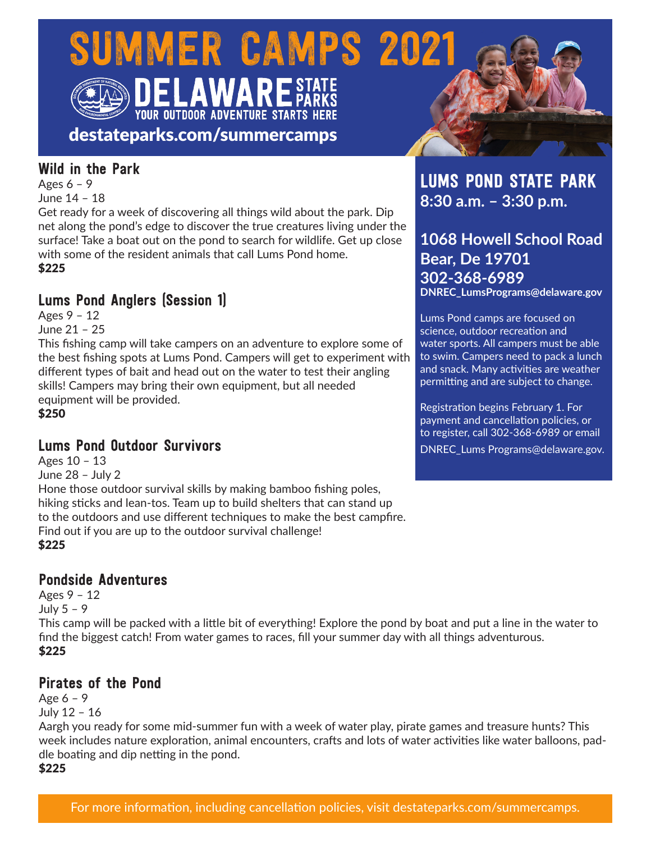# SUMMER CAMPS 2021 **YOUR OUTDOOR ADVENTURE STARTS HERE**

destateparks.com/summercamps

### Wild in the Park

Ages 6 – 9

June 14 – 18

Get ready for a week of discovering all things wild about the park. Dip net along the pond's edge to discover the true creatures living under the surface! Take a boat out on the pond to search for wildlife. Get up close with some of the resident animals that call Lums Pond home. \$225

# Lums Pond Anglers (Session 1)

Ages 9 – 12 June 21 – 25

This fishing camp will take campers on an adventure to explore some of the best fishing spots at Lums Pond. Campers will get to experiment with different types of bait and head out on the water to test their angling skills! Campers may bring their own equipment, but all needed equipment will be provided.

\$250

## Lums Pond Outdoor Survivors

Ages 10 – 13 June 28 – July 2 Hone those outdoor survival skills by making bamboo fishing poles, hiking sticks and lean-tos. Team up to build shelters that can stand up to the outdoors and use different techniques to make the best campfire. Find out if you are up to the outdoor survival challenge! \$225

### Pondside Adventures

Ages 9 – 12 July 5 – 9 This camp will be packed with a little bit of everything! Explore the pond by boat and put a line in the water to find the biggest catch! From water games to races, fill your summer day with all things adventurous. \$225

## Pirates of the Pond

Age 6 – 9 July 12 – 16

Aargh you ready for some mid-summer fun with a week of water play, pirate games and treasure hunts? This week includes nature exploration, animal encounters, crafts and lots of water activities like water balloons, paddle boating and dip netting in the pond.

\$225



**1068 Howell School Road Bear, De 19701 302-368-6989 DNREC\_LumsPrograms@delaware.gov**

Lums Pond camps are focused on science, outdoor recreation and water sports. All campers must be able to swim. Campers need to pack a lunch and snack. Many activities are weather permitting and are subject to change.

Registration begins February 1. For payment and cancellation policies, or to register, call 302-368-6989 or email DNREC\_Lums Programs@delaware.gov.